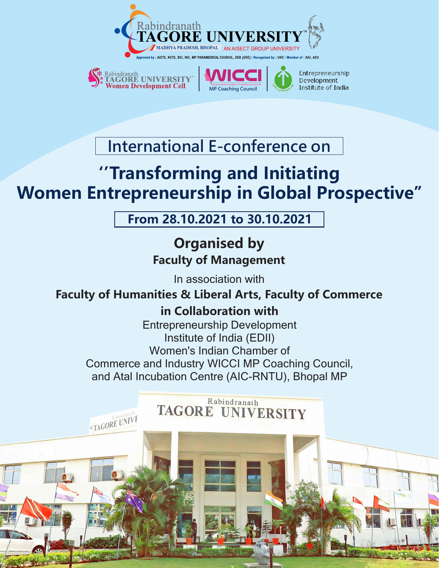



.CTAGORE UNIVE



Entrepreneurship Development Institute of India

**International E-conference on**

# **''Transforming and Initiating Women Entrepreneurship in Global Prospective''**

**From 28.10.2021 to 30.10.2021**

**Organised by Faculty of Management**

In association with

# **Faculty of Humanities & Liberal Arts, Faculty of Commerce**

# **in Collaboration with**

Entrepreneurship Development Institute of India (EDII) Women's Indian Chamber of Commerce and Industry WICCI MP Coaching Council, and Atal Incubation Centre (AIC-RNTU), Bhopal MP

#### Rabindranath **TAGORE UNIVERSITY**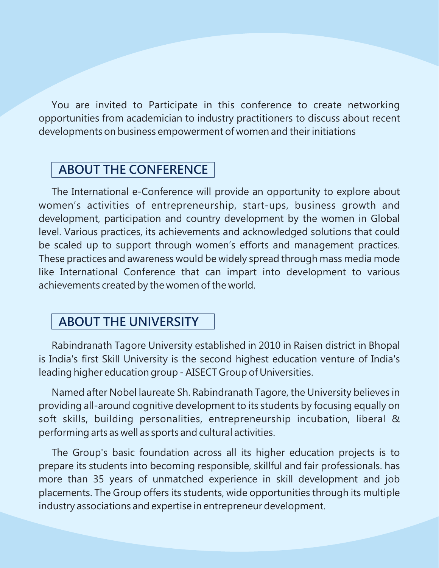You are invited to Participate in this conference to create networking opportunities from academician to industry practitioners to discuss about recent developments on business empowerment of women and their initiations

### **ABOUT THE CONFERENCE**

The International e-Conference will provide an opportunity to explore about women's activities of entrepreneurship, start-ups, business growth and development, participation and country development by the women in Global level. Various practices, its achievements and acknowledged solutions that could be scaled up to support through women's efforts and management practices. These practices and awareness would be widely spread through mass media mode like International Conference that can impart into development to various achievements created by the women of the world.

### **ABOUT THE UNIVERSITY**

Rabindranath Tagore University established in 2010 in Raisen district in Bhopal is India's first Skill University is the second highest education venture of India's leading higher education group - AISECT Group of Universities.

Named after Nobel laureate Sh. Rabindranath Tagore, the University believes in providing all-around cognitive development to its students by focusing equally on soft skills, building personalities, entrepreneurship incubation, liberal & performing arts as well as sports and cultural activities.

The Group's basic foundation across all its higher education projects is to prepare its students into becoming responsible, skillful and fair professionals. has more than 35 years of unmatched experience in skill development and job placements. The Group offers its students, wide opportunities through its multiple industry associations and expertise in entrepreneur development.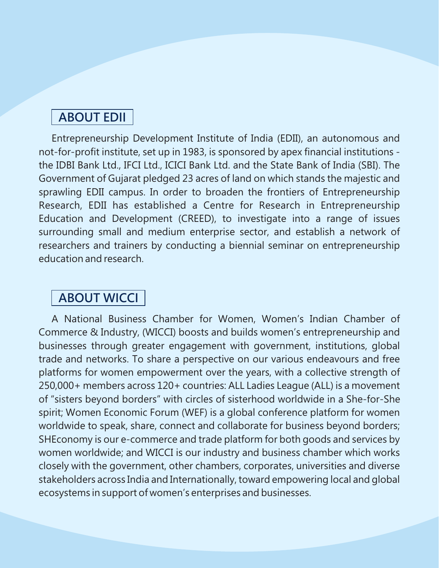### **ABOUT EDII**

Entrepreneurship Development Institute of India (EDII), an autonomous and not-for-profit institute, set up in 1983, is sponsored by apex financial institutions the IDBI Bank Ltd., IFCI Ltd., ICICI Bank Ltd. and the State Bank of India (SBI). The Government of Gujarat pledged 23 acres of land on which stands the majestic and sprawling EDII campus. In order to broaden the frontiers of Entrepreneurship Research, EDII has established a Centre for Research in Entrepreneurship Education and Development (CREED), to investigate into a range of issues surrounding small and medium enterprise sector, and establish a network of researchers and trainers by conducting a biennial seminar on entrepreneurship education and research.

### **ABOUT WICCI**

A National Business Chamber for Women, Women's Indian Chamber of Commerce & Industry, (WICCI) boosts and builds women's entrepreneurship and businesses through greater engagement with government, institutions, global trade and networks. To share a perspective on our various endeavours and free platforms for women empowerment over the years, with a collective strength of 250,000+ members across 120+ countries: ALL Ladies League (ALL) is a movement of "sisters beyond borders" with circles of sisterhood worldwide in a She-for-She spirit; Women Economic Forum (WEF) is a global conference platform for women worldwide to speak, share, connect and collaborate for business beyond borders; SHEconomy is our e-commerce and trade platform for both goods and services by women worldwide; and WICCI is our industry and business chamber which works closely with the government, other chambers, corporates, universities and diverse stakeholders across India and Internationally, toward empowering local and global ecosystems in support of women's enterprises and businesses.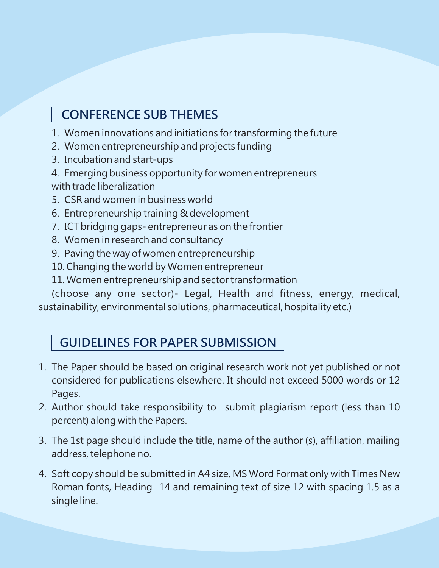# **CONFERENCE SUB THEMES**

- 1. Women innovations and initiations for transforming the future
- 2. Women entrepreneurship and projects funding
- 3. Incubation and start-ups
- 4. Emerging business opportunity for women entrepreneurs with trade liberalization
- 5. CSR and women in business world
- 6. Entrepreneurship training & development
- 7. ICT bridging gaps- entrepreneur as on the frontier
- 8. Women in research and consultancy
- 9. Paving the way of women entrepreneurship
- 10. Changing the world by Women entrepreneur
- 11. Women entrepreneurship and sector transformation

(choose any one sector)- Legal, Health and fitness, energy, medical, sustainability, environmental solutions, pharmaceutical, hospitality etc.)

# **GUIDELINES FOR PAPER SUBMISSION**

- 1. The Paper should be based on original research work not yet published or not considered for publications elsewhere. It should not exceed 5000 words or 12 Pages.
- 2. Author should take responsibility to submit plagiarism report (less than 10 percent) along with the Papers.
- 3. The 1st page should include the title, name of the author (s), affiliation, mailing address, telephone no.
- 4. Soft copy should be submitted in A4 size, MS Word Format only with Times New Roman fonts, Heading 14 and remaining text of size 12 with spacing 1.5 as a single line.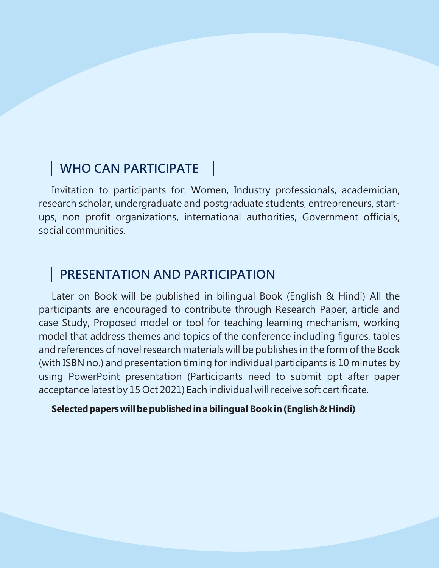### **WHO CAN PARTICIPATE**

Invitation to participants for: Women, Industry professionals, academician, research scholar, undergraduate and postgraduate students, entrepreneurs, startups, non profit organizations, international authorities, Government officials, social communities.

### **PRESENTATION AND PARTICIPATION**

Later on Book will be published in bilingual Book (English & Hindi) All the participants are encouraged to contribute through Research Paper, article and case Study, Proposed model or tool for teaching learning mechanism, working model that address themes and topics of the conference including figures, tables and references of novel research materials will be publishes in the form of the Book (with ISBN no.) and presentation timing for individual participants is 10 minutes by using PowerPoint presentation (Participants need to submit ppt after paper acceptance latest by 15 Oct 2021) Each individual will receive soft certificate.

#### **Selectedpaperswillbepublishedinabilingual Bookin(English&Hindi)**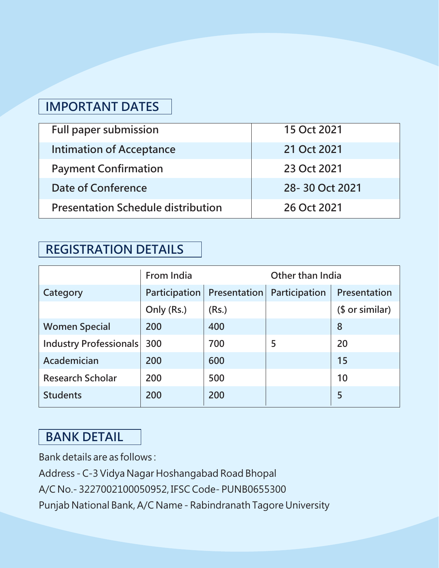# **IMPORTANT DATES**

| <b>Full paper submission</b>              | 15 Oct 2021    |
|-------------------------------------------|----------------|
| <b>Intimation of Acceptance</b>           | 21 Oct 2021    |
| <b>Payment Confirmation</b>               | 23 Oct 2021    |
| Date of Conference                        | 28-30 Oct 2021 |
| <b>Presentation Schedule distribution</b> | 26 Oct 2021    |

### **REGISTRATION DETAILS**

|                         | From India           |                            | Other than India |                 |
|-------------------------|----------------------|----------------------------|------------------|-----------------|
| Category                | <b>Participation</b> | Presentation Participation |                  | Presentation    |
|                         | Only (Rs.)           | (Rs.)                      |                  | $$$ or similar) |
| <b>Women Special</b>    | 200                  | 400                        |                  | 8               |
| Industry Professionals  | 300                  | 700                        | 5                | 20              |
| Academician             | 200                  | 600                        |                  | 15              |
| <b>Research Scholar</b> | 200                  | 500                        |                  | 10              |
| <b>Students</b>         | 200                  | 200                        |                  | 5               |

# **BANK DETAIL**

Bank details are as follows :

Address - C-3 Vidya Nagar Hoshangabad Road Bhopal

A/C No.- 3227002100050952, IFSC Code- PUNB0655300

Punjab National Bank, A/C Name - Rabindranath Tagore University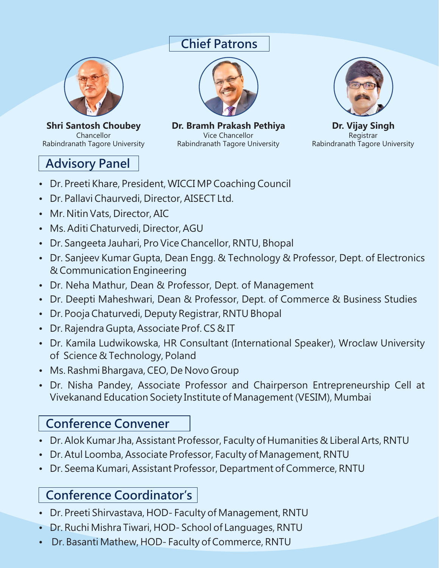### **Chief Patrons**



**Shri Santosh Choubey** Chancellor Rabindranath Tagore University

# **Advisory Panel**



**Dr. Bramh Prakash Pethiya** Vice Chancellor Rabindranath Tagore University



**Dr. Vijay Singh** Registrar Rabindranath Tagore University

- Dr. Preeti Khare, President, WICCI MP Coaching Council
- Dr. Pallavi Chaurvedi, Director, AISECT Ltd.
- Mr. Nitin Vats, Director, AIC
- Ms. Aditi Chaturvedi, Director, AGU
- Dr. Sangeeta Jauhari, Pro Vice Chancellor, RNTU, Bhopal
- Dr. Sanjeev Kumar Gupta, Dean Engg. & Technology & Professor, Dept. of Electronics & Communication Engineering
- Dr. Neha Mathur, Dean & Professor, Dept. of Management
- Dr. Deepti Maheshwari, Dean & Professor, Dept. of Commerce & Business Studies
- Dr. Pooja Chaturvedi, Deputy Registrar, RNTU Bhopal
- Dr. Rajendra Gupta, Associate Prof. CS & IT
- Dr. Kamila Ludwikowska, HR Consultant (International Speaker), Wroclaw University of Science & Technology, Poland
- Ms. Rashmi Bhargava, CEO, De Novo Group
- Dr. Nisha Pandey, Associate Professor and Chairperson Entrepreneurship Cell at Vivekanand Education Society Institute of Management (VESIM), Mumbai

# **Conference Convener**

- Dr. Alok Kumar Jha, Assistant Professor, Faculty of Humanities & Liberal Arts, RNTU
- Dr. Atul Loomba, Associate Professor, Faculty of Management, RNTU
- Dr. Seema Kumari, Assistant Professor, Department of Commerce, RNTU

# **Conference Coordinator's**

- Dr. Preeti Shirvastava, HOD- Faculty of Management, RNTU
- Dr. Ruchi Mishra Tiwari, HOD- School of Languages, RNTU
- Dr. Basanti Mathew, HOD- Faculty of Commerce, RNTU